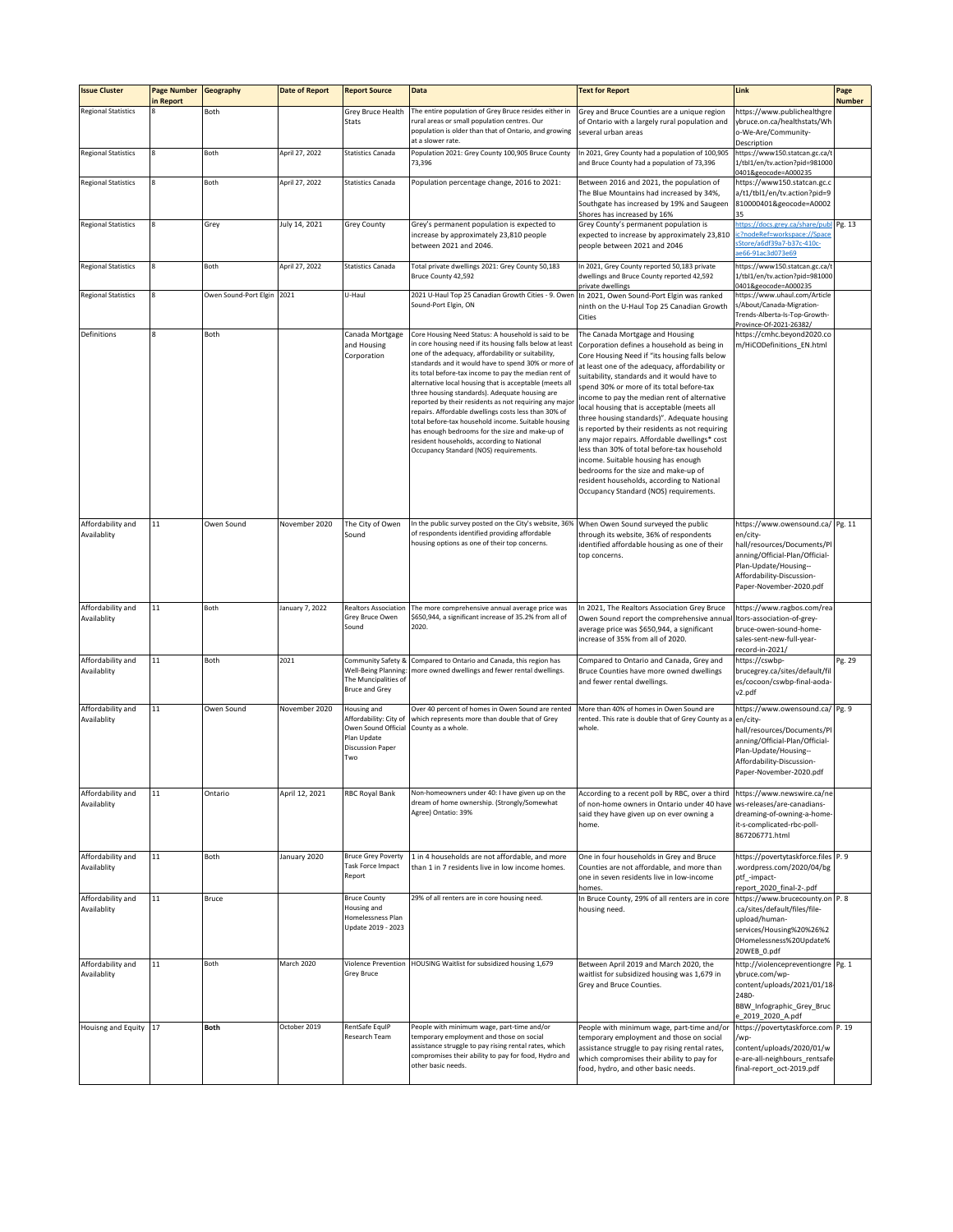| <b>Issue Cluster</b>             | <b>Page Number Geography</b><br>in Report |                            | <b>Date of Report</b> | <b>Report Source</b>                                                                                          | Data                                                                                                                                                                                                                                                                                                                                                                                                                                                                                                                                                                                                                                                                                                                   | <b>Text for Report</b>                                                                                                                                                                                                                                                                                                                                                                                                                                                                                                                                                                                                                                                                                                                               | Link                                                                                                                                                                                          | Page<br><b>Number</b> |
|----------------------------------|-------------------------------------------|----------------------------|-----------------------|---------------------------------------------------------------------------------------------------------------|------------------------------------------------------------------------------------------------------------------------------------------------------------------------------------------------------------------------------------------------------------------------------------------------------------------------------------------------------------------------------------------------------------------------------------------------------------------------------------------------------------------------------------------------------------------------------------------------------------------------------------------------------------------------------------------------------------------------|------------------------------------------------------------------------------------------------------------------------------------------------------------------------------------------------------------------------------------------------------------------------------------------------------------------------------------------------------------------------------------------------------------------------------------------------------------------------------------------------------------------------------------------------------------------------------------------------------------------------------------------------------------------------------------------------------------------------------------------------------|-----------------------------------------------------------------------------------------------------------------------------------------------------------------------------------------------|-----------------------|
| <b>Regional Statistics</b>       |                                           | Both                       |                       | Grey Bruce Health<br>Stats                                                                                    | The entire population of Grey Bruce resides either in<br>rural areas or small population centres. Our<br>population is older than that of Ontario, and growing<br>at a slower rate.                                                                                                                                                                                                                                                                                                                                                                                                                                                                                                                                    | Grey and Bruce Counties are a unique region<br>of Ontario with a largely rural population and<br>several urban areas                                                                                                                                                                                                                                                                                                                                                                                                                                                                                                                                                                                                                                 | https://www.publichealthgre<br>ybruce.on.ca/healthstats/Wh<br>o-We-Are/Community-<br>Description                                                                                              |                       |
| <b>Regional Statistics</b>       |                                           | Both                       | April 27, 2022        | <b>Statistics Canada</b>                                                                                      | Population 2021: Grey County 100,905 Bruce County<br>73,396                                                                                                                                                                                                                                                                                                                                                                                                                                                                                                                                                                                                                                                            | In 2021, Grey County had a population of 100,905<br>and Bruce County had a population of 73,396                                                                                                                                                                                                                                                                                                                                                                                                                                                                                                                                                                                                                                                      | https://www150.statcan.gc.ca/t<br>1/tbl1/en/tv.action?pid=981000<br>0401&geocode=A000235                                                                                                      |                       |
| <b>Regional Statistics</b>       | $\mathbf{R}$                              | Both                       | April 27, 2022        | <b>Statistics Canada</b>                                                                                      | Population percentage change, 2016 to 2021:                                                                                                                                                                                                                                                                                                                                                                                                                                                                                                                                                                                                                                                                            | Between 2016 and 2021, the population of<br>The Blue Mountains had increased by 34%,<br>Southgate has increased by 19% and Saugeen<br>Shores has increased by 16%                                                                                                                                                                                                                                                                                                                                                                                                                                                                                                                                                                                    | https://www150.statcan.gc.c<br>a/t1/tbl1/en/tv.action?pid=9<br>810000401&geocode=A0002<br>35                                                                                                  |                       |
| <b>Regional Statistics</b>       |                                           | Grey                       | July 14, 2021         | <b>Grey County</b>                                                                                            | Grey's permanent population is expected to<br>increase by approximately 23,810 people<br>between 2021 and 2046.                                                                                                                                                                                                                                                                                                                                                                                                                                                                                                                                                                                                        | Grey County's permanent population is<br>expected to increase by approximately 23,810<br>people between 2021 and 2046                                                                                                                                                                                                                                                                                                                                                                                                                                                                                                                                                                                                                                | https://docs.grey.ca/share/publ<br>c?nodeRef=workspace://Space<br>Store/a6df39a7-b37c-410c-<br>e66-91ac3d073e69                                                                               | Pg. 13                |
| <b>Regional Statistics</b>       |                                           | Both                       | April 27, 2022        | <b>Statistics Canada</b>                                                                                      | Total private dwellings 2021: Grey County 50,183<br>Bruce County 42,592                                                                                                                                                                                                                                                                                                                                                                                                                                                                                                                                                                                                                                                | In 2021, Grey County reported 50,183 private<br>dwellings and Bruce County reported 42,592<br>private dwellings                                                                                                                                                                                                                                                                                                                                                                                                                                                                                                                                                                                                                                      | https://www150.statcan.gc.ca/t<br>1/tbl1/en/tv.action?pid=981000<br>0401&geocode=A000235                                                                                                      |                       |
| <b>Regional Statistics</b>       |                                           | Owen Sound-Port Elgin 2021 |                       | U-Haul                                                                                                        | 2021 U-Haul Top 25 Canadian Growth Cities - 9. Owen<br>Sound-Port Elgin, ON                                                                                                                                                                                                                                                                                                                                                                                                                                                                                                                                                                                                                                            | In 2021, Owen Sound-Port Elgin was ranked<br>ninth on the U-Haul Top 25 Canadian Growth<br>Cities                                                                                                                                                                                                                                                                                                                                                                                                                                                                                                                                                                                                                                                    | https://www.uhaul.com/Article<br>s/About/Canada-Migration-<br>Trends-Alberta-Is-Top-Growth-<br>Province-Of-2021-26382/                                                                        |                       |
| Definitions                      | 8                                         | Both                       |                       | Canada Mortgage<br>and Housing<br>Corporation                                                                 | Core Housing Need Status: A household is said to be<br>in core housing need if its housing falls below at least<br>one of the adequacy, affordability or suitability,<br>standards and it would have to spend 30% or more of<br>its total before-tax income to pay the median rent of<br>alternative local housing that is acceptable (meets all<br>three housing standards). Adequate housing are<br>reported by their residents as not requiring any major<br>repairs. Affordable dwellings costs less than 30% of<br>total before-tax household income. Suitable housing<br>has enough bedrooms for the size and make-up of<br>resident households, according to National<br>Occupancy Standard (NOS) requirements. | The Canada Mortgage and Housing<br>Corporation defines a household as being in<br>Core Housing Need if "its housing falls below<br>at least one of the adequacy, affordability or<br>suitability, standards and it would have to<br>spend 30% or more of its total before-tax<br>income to pay the median rent of alternative<br>ocal housing that is acceptable (meets all<br>three housing standards)". Adequate housing<br>is reported by their residents as not requiring<br>any major repairs. Affordable dwellings* cost<br>less than 30% of total before-tax household<br>income. Suitable housing has enough<br>bedrooms for the size and make-up of<br>resident households, according to National<br>Occupancy Standard (NOS) requirements. | https://cmhc.beyond2020.co<br>m/HiCODefinitions_EN.html                                                                                                                                       |                       |
| Affordability and<br>Availablity | 11                                        | Owen Sound                 | November 2020         | The City of Owen<br>Sound                                                                                     | In the public survey posted on the City's website, 36%<br>of respondents identified providing affordable<br>housing options as one of their top concerns.                                                                                                                                                                                                                                                                                                                                                                                                                                                                                                                                                              | When Owen Sound surveyed the public<br>through its website, 36% of respondents<br>identified affordable housing as one of their<br>top concerns.                                                                                                                                                                                                                                                                                                                                                                                                                                                                                                                                                                                                     | https://www.owensound.ca/<br>en/city-<br>hall/resources/Documents/Pl<br>anning/Official-Plan/Official-<br>Plan-Update/Housing--<br>Affordability-Discussion-<br>Paper-November-2020.pdf       | Pg. 11                |
| Affordability and<br>Availablity | 11                                        | Both                       | January 7, 2022       | <b>Realtors Association</b><br>Grey Bruce Owen<br>Sound                                                       | The more comprehensive annual average price was<br>\$650,944, a significant increase of 35.2% from all of<br>2020.                                                                                                                                                                                                                                                                                                                                                                                                                                                                                                                                                                                                     | In 2021, The Realtors Association Grey Bruce<br>Owen Sound report the comprehensive annual<br>average price was \$650,944, a significant<br>increase of 35% from all of 2020.                                                                                                                                                                                                                                                                                                                                                                                                                                                                                                                                                                        | https://www.ragbos.com/rea<br>Itors-association-of-grey-<br>bruce-owen-sound-home-<br>sales-sent-new-full-year-<br>record-in-2021/                                                            |                       |
| Affordability and<br>Availablity | 11                                        | Both                       | 2021                  | Community Safety &<br>Well-Being Planning:<br>The Muncipalities of<br><b>Bruce and Grey</b>                   | Compared to Ontario and Canada, this region has<br>more owned dwellings and fewer rental dwellings.                                                                                                                                                                                                                                                                                                                                                                                                                                                                                                                                                                                                                    | Compared to Ontario and Canada, Grey and<br>Bruce Counties have more owned dwellings<br>and fewer rental dwellings.                                                                                                                                                                                                                                                                                                                                                                                                                                                                                                                                                                                                                                  | https://cswbp-<br>brucegrey.ca/sites/default/fil<br>es/cocoon/cswbp-final-aoda-<br>v2.pdf                                                                                                     | Pg. 29                |
| Affordability and<br>Availablity | 11                                        | Owen Sound                 | November 2020         | Housing and<br>Affordability: City of<br>Owen Sound Official<br>Plan Update<br><b>Discussion Paper</b><br>Two | Over 40 percent of homes in Owen Sound are rented<br>which represents more than double that of Grey<br>County as a whole.                                                                                                                                                                                                                                                                                                                                                                                                                                                                                                                                                                                              | More than 40% of homes in Owen Sound are<br>rented. This rate is double that of Grey County as a<br>whole.                                                                                                                                                                                                                                                                                                                                                                                                                                                                                                                                                                                                                                           | https://www.owensound.ca/ Pg. 9<br>en/city-<br>hall/resources/Documents/Pl<br>anning/Official-Plan/Official-<br>Plan-Update/Housing--<br>Affordability-Discussion-<br>Paper-November-2020.pdf |                       |
| Affordability and<br>Availablity | $11\,$                                    | Ontario                    | April 12, 2021        | <b>RBC Royal Bank</b>                                                                                         | Non-homeowners under 40: I have given up on the<br>dream of home ownership. (Strongly/Somewhat<br>Agree) Ontatio: 39%                                                                                                                                                                                                                                                                                                                                                                                                                                                                                                                                                                                                  | According to a recent poll by RBC, over a third<br>of non-home owners in Ontario under 40 have<br>said they have given up on ever owning a<br>home.                                                                                                                                                                                                                                                                                                                                                                                                                                                                                                                                                                                                  | https://www.newswire.ca/ne<br>ws-releases/are-canadians-<br>dreaming-of-owning-a-home-<br>it-s-complicated-rbc-poll-<br>867206771.html                                                        |                       |
| Affordability and<br>Availablity | $11\,$                                    | Both                       | January 2020          | <b>Bruce Grey Poverty</b><br>Task Force Impact<br>Report                                                      | 1 in 4 households are not affordable, and more<br>than 1 in 7 residents live in low income homes.                                                                                                                                                                                                                                                                                                                                                                                                                                                                                                                                                                                                                      | One in four households in Grey and Bruce<br>Counties are not affordable, and more than<br>one in seven residents live in low-income<br>homes.                                                                                                                                                                                                                                                                                                                                                                                                                                                                                                                                                                                                        | https://povertytaskforce.files P. 9<br>wordpress.com/2020/04/bg<br>ptf -impact-<br>report_2020_final-2-.pdf                                                                                   |                       |
| Affordability and<br>Availablity | $11\,$                                    | Bruce                      |                       | <b>Bruce County</b><br>Housing and<br>Homelessness Plan<br>Update 2019 - 2023                                 | 29% of all renters are in core housing need.                                                                                                                                                                                                                                                                                                                                                                                                                                                                                                                                                                                                                                                                           | In Bruce County, 29% of all renters are in core<br>housing need.                                                                                                                                                                                                                                                                                                                                                                                                                                                                                                                                                                                                                                                                                     | https://www.brucecounty.on P. 8<br>.ca/sites/default/files/file-<br>upload/human-<br>services/Housing%20%26%2<br>0Homelessness%20Update%<br>20WEB 0.pdf                                       |                       |
| Affordability and<br>Availablity | 11                                        | Both                       | March 2020            | Violence Prevention<br>Grey Bruce                                                                             | HOUSING Waitlist for subsidized housing 1,679                                                                                                                                                                                                                                                                                                                                                                                                                                                                                                                                                                                                                                                                          | Between April 2019 and March 2020, the<br>waitlist for subsidized housing was 1,679 in<br>Grey and Bruce Counties.                                                                                                                                                                                                                                                                                                                                                                                                                                                                                                                                                                                                                                   | http://violencepreventiongre Pg. 1<br>ybruce.com/wp-<br>content/uploads/2021/01/18<br>2480-<br>BBW_Infographic_Grey_Bruc<br>e_2019_2020_A.pdf                                                 |                       |
| Houisng and Equity 17            |                                           | <b>Both</b>                | October 2019          | RentSafe EquIP<br>Research Team                                                                               | People with minimum wage, part-time and/or<br>temporary employment and those on social<br>assistance struggle to pay rising rental rates, which<br>compromises their ability to pay for food, Hydro and<br>other basic needs.                                                                                                                                                                                                                                                                                                                                                                                                                                                                                          | People with minimum wage, part-time and/or<br>temporary employment and those on social<br>assistance struggle to pay rising rental rates,<br>which compromises their ability to pay for<br>food, hydro, and other basic needs.                                                                                                                                                                                                                                                                                                                                                                                                                                                                                                                       | https://povertytaskforce.com P. 19<br>/wp-<br>content/uploads/2020/01/w<br>e-are-all-neighbours_rentsafe-<br>final-report_oct-2019.pdf                                                        |                       |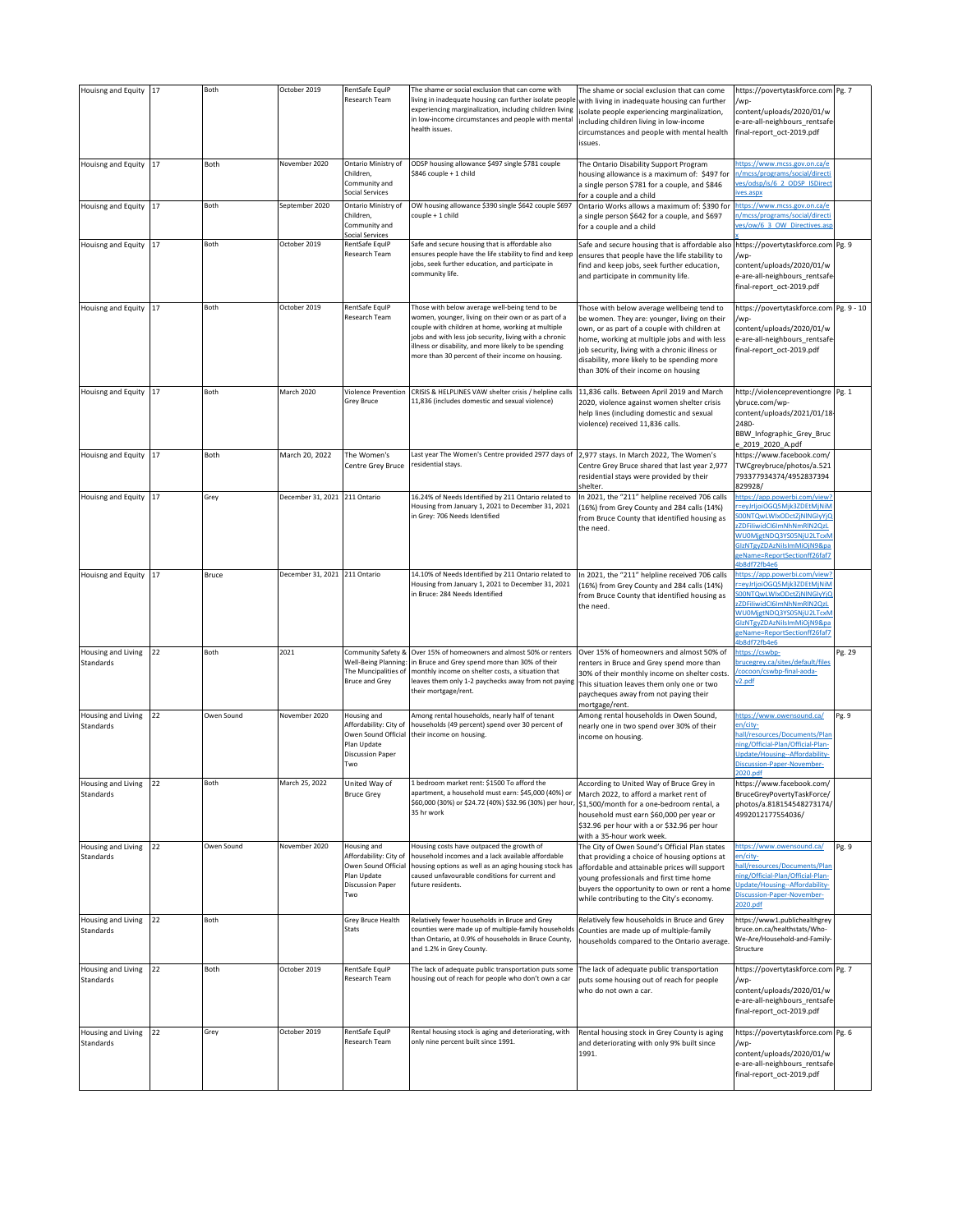| Houisng and Equity 17           |       | Both       | October 2019                  | RentSafe EquIP<br>Research Team                                                                               | The shame or social exclusion that can come with<br>living in inadequate housing can further isolate people<br>experiencing marginalization, including children living<br>in low-income circumstances and people with mental<br>health issues.                                                                                    | The shame or social exclusion that can come<br>with living in inadequate housing can further<br>isolate people experiencing marginalization,<br>including children living in low-income<br>circumstances and people with mental health<br>issues.                                                                                  | https://povertytaskforce.com Pg. 7<br>/wp-<br>content/uploads/2020/01/w<br>e-are-all-neighbours_rentsafe-<br>final-report_oct-2019.pdf                                                                                           |        |
|---------------------------------|-------|------------|-------------------------------|---------------------------------------------------------------------------------------------------------------|-----------------------------------------------------------------------------------------------------------------------------------------------------------------------------------------------------------------------------------------------------------------------------------------------------------------------------------|------------------------------------------------------------------------------------------------------------------------------------------------------------------------------------------------------------------------------------------------------------------------------------------------------------------------------------|----------------------------------------------------------------------------------------------------------------------------------------------------------------------------------------------------------------------------------|--------|
| Houisng and Equity 17           |       | Both       | November 2020                 | Ontario Ministry of<br>Children,<br>Community and<br><b>Social Services</b>                                   | ODSP housing allowance \$497 single \$781 couple<br>\$846 couple + 1 child                                                                                                                                                                                                                                                        | The Ontario Disability Support Program<br>housing allowance is a maximum of: \$497 for<br>a single person \$781 for a couple, and \$846<br>for a couple and a child                                                                                                                                                                | https://www.mcss.gov.on.ca/e<br>n/mcss/programs/social/directi<br>res/odsp/is/6_2_ODSP_ISDirect<br>ives.aspx                                                                                                                     |        |
| Houisng and Equity 17           |       | Both       | September 2020                | Ontario Ministry of<br>Children,<br>Community and<br><b>Social Services</b>                                   | OW housing allowance \$390 single \$642 couple \$697<br>couple + 1 child                                                                                                                                                                                                                                                          | Ontario Works allows a maximum of: \$390 for<br>a single person \$642 for a couple, and \$697<br>for a couple and a child                                                                                                                                                                                                          | https://www.mcss.gov.on.ca/e<br>n/mcss/programs/social/directi<br>ves/ow/6_3_OW_Directives.asp                                                                                                                                   |        |
| Houisng and Equity 17           |       | Both       | October 2019                  | RentSafe EquIP<br>Research Team                                                                               | Safe and secure housing that is affordable also<br>ensures people have the life stability to find and keep<br>jobs, seek further education, and participate in<br>community life.                                                                                                                                                 | Safe and secure housing that is affordable also https://povertytaskforce.com Pg. 9<br>ensures that people have the life stability to<br>find and keep jobs, seek further education,<br>and participate in community life.                                                                                                          | /wp-<br>content/uploads/2020/01/w<br>e-are-all-neighbours_rentsafe-<br>final-report_oct-2019.pdf                                                                                                                                 |        |
| Houisng and Equity 17           |       | Both       | October 2019                  | RentSafe EquIP<br>Research Team                                                                               | Those with below average well-being tend to be<br>women, younger, living on their own or as part of a<br>couple with children at home, working at multiple<br>jobs and with less job security, living with a chronic<br>illness or disability, and more likely to be spending<br>more than 30 percent of their income on housing. | Those with below average wellbeing tend to<br>be women. They are: younger, living on their<br>own, or as part of a couple with children at<br>home, working at multiple jobs and with less<br>job security, living with a chronic illness or<br>disability, more likely to be spending more<br>than 30% of their income on housing | https://povertytaskforce.com Pg. 9 - 10<br>/wp-<br>content/uploads/2020/01/w<br>e-are-all-neighbours_rentsafe-<br>final-report_oct-2019.pdf                                                                                      |        |
| Houisng and Equity 17           |       | Both       | March 2020                    | <b>Violence Prevention</b><br>Grey Bruce                                                                      | CRISIS & HELPLINES VAW shelter crisis / helpline calls<br>11,836 (includes domestic and sexual violence)                                                                                                                                                                                                                          | 11,836 calls. Between April 2019 and March<br>2020, violence against women shelter crisis<br>help lines (including domestic and sexual<br>violence) received 11,836 calls.                                                                                                                                                         | http://violencepreventiongre Pg. 1<br>ybruce.com/wp-<br>content/uploads/2021/01/18-<br>2480-<br>BBW Infographic Grey Bruc<br>e_2019_2020_A.pdf                                                                                   |        |
| Houisng and Equity 17           |       | Both       | March 20, 2022                | The Women's<br>Centre Grey Bruce                                                                              | Last year The Women's Centre provided 2977 days of<br>residential stays.                                                                                                                                                                                                                                                          | 2,977 stays. In March 2022, The Women's<br>Centre Grey Bruce shared that last year 2,977<br>residential stays were provided by their<br>shelter.                                                                                                                                                                                   | https://www.facebook.com/<br>TWCgreybruce/photos/a.521<br>793377934374/4952837394<br>829928/                                                                                                                                     |        |
| Houisng and Equity 17           |       | Grey       | December 31, 2021 211 Ontario |                                                                                                               | 16.24% of Needs Identified by 211 Ontario related to<br>Housing from January 1, 2021 to December 31, 2021<br>in Grey: 706 Needs Identified                                                                                                                                                                                        | In 2021, the "211" helpline received 706 calls<br>(16%) from Grey County and 284 calls (14%)<br>from Bruce County that identified housing as<br>the need.                                                                                                                                                                          | https://app.powerbi.com/view?<br>=eyJrIjoiOGQ5Mjk3ZDEtMjNiM<br>600NTQwLWIxODctZjNINGIyYjQ<br>ZDFiliwidCl6ImNhNmRlN2QzL<br>WU0MjgtNDQ3YS05NjU2LTcxM<br>GIzNTgyZDAzNilsImMiOjN9&pa<br>geName=ReportSectionff26faf7<br>1b8df72fb4e6 |        |
| Houisng and Equity 17           |       | Bruce      | December 31, 2021 211 Ontario |                                                                                                               | 14.10% of Needs Identified by 211 Ontario related to<br>Housing from January 1, 2021 to December 31, 2021<br>in Bruce: 284 Needs Identified                                                                                                                                                                                       | In 2021, the "211" helpline received 706 calls<br>(16%) from Grey County and 284 calls (14%)<br>from Bruce County that identified housing as<br>the need.                                                                                                                                                                          | https://app.powerbi.com/view?<br>=eyJrIjoiOGQ5Mjk3ZDEtMjNiM<br>600NTQwLWIxODctZjNlNGlyYjQ<br>ZDFiliwidCl6ImNhNmRlN2QzL<br>WU0MjgtNDQ3YS05NjU2LTcxM<br>GIzNTgyZDAzNilsImMiOjN9&pa<br>geName=ReportSectionff26faf7<br>4b8df72fb4e6 |        |
| Housing and Living<br>Standards | 22    | Both       | 2021                          | Well-Being Planning:<br>The Muncipalities of<br><b>Bruce and Grey</b>                                         | Community Safety & Over 15% of homeowners and almost 50% or renters<br>in Bruce and Grey spend more than 30% of their<br>monthly income on shelter costs, a situation that<br>leaves them only 1-2 paychecks away from not paying<br>their mortgage/rent.                                                                         | Over 15% of homeowners and almost 50% of<br>renters in Bruce and Grey spend more than<br>30% of their monthly income on shelter costs.<br>This situation leaves them only one or two<br>paycheques away from not paying their<br>mortgage/rent.                                                                                    | https://cswbp-<br>brucegrey.ca/sites/default/files<br>cocoon/cswbp-final-aoda-<br>v <sub>2.pdf</sub>                                                                                                                             | Pg. 29 |
| Housing and Living<br>Standards | 22    | Owen Sound | November 2020                 | Housing and<br>Affordability: City of<br>Owen Sound Official<br>Plan Update<br><b>Discussion Paper</b><br>Two | Among rental households, nearly half of tenant<br>households (49 percent) spend over 30 percent of<br>their income on housing.                                                                                                                                                                                                    | Among rental households in Owen Sound,<br>nearly one in two spend over 30% of their<br>income on housing.                                                                                                                                                                                                                          | https://www.owensound.ca/<br>en/city-<br>hall/resources/Documents/Plan<br>ning/Official-Plan/Official-Plan-<br>Update/Housing--Affordability-<br>Discussion-Paper-November-<br>2020.pdf                                          | Pg. 9  |
| Housing and Living<br>Standards | $ 22$ | Both       | March 25, 2022                | United Way of<br><b>Bruce Grey</b>                                                                            | 1 bedroom market rent: \$1500 To afford the<br>apartment, a household must earn: \$45,000 (40%) or<br>\$60,000 (30%) or \$24.72 (40%) \$32.96 (30%) per hour,<br>35 hr work                                                                                                                                                       | According to United Way of Bruce Grey in<br>March 2022, to afford a market rent of<br>\$1,500/month for a one-bedroom rental, a<br>household must earn \$60,000 per year or<br>\$32.96 per hour with a or \$32.96 per hour<br>with a 35-hour work week.                                                                            | https://www.facebook.com/<br>BruceGreyPovertyTaskForce/<br>photos/a.818154548273174/<br>4992012177554036/                                                                                                                        |        |
| Housing and Living<br>Standards | 22    | Owen Sound | November 2020                 | Housing and<br>Affordability: City of<br>Owen Sound Official<br>Plan Update<br><b>Discussion Paper</b><br>Two | Housing costs have outpaced the growth of<br>household incomes and a lack available affordable<br>housing options as well as an aging housing stock has<br>caused unfavourable conditions for current and<br>future residents.                                                                                                    | The City of Owen Sound's Official Plan states<br>that providing a choice of housing options at<br>affordable and attainable prices will support<br>young professionals and first time home<br>buyers the opportunity to own or rent a home<br>while contributing to the City's economy.                                            | https://www.owensound.ca/<br>en/city-<br>hall/resources/Documents/Plan<br>ning/Official-Plan/Official-Plan-<br>Update/Housing--Affordability-<br>Discussion-Paper-November-<br>2020.pdf                                          | Pg. 9  |
| Housing and Living<br>Standards | 22    | Both       |                               | Grey Bruce Health<br><b>Stats</b>                                                                             | Relatively fewer households in Bruce and Grey<br>counties were made up of multiple-family households<br>than Ontario, at 0.9% of households in Bruce County,<br>and 1.2% in Grey County.                                                                                                                                          | Relatively few households in Bruce and Grey<br>Counties are made up of multiple-family<br>households compared to the Ontario average.                                                                                                                                                                                              | https://www1.publichealthgrey<br>bruce.on.ca/healthstats/Who-<br>We-Are/Household-and-Family-<br>Structure                                                                                                                       |        |
| Housing and Living<br>Standards | 22    | Both       | October 2019                  | RentSafe EquIP<br>Research Team                                                                               | The lack of adequate public transportation puts some<br>housing out of reach for people who don't own a car                                                                                                                                                                                                                       | The lack of adequate public transportation<br>puts some housing out of reach for people<br>who do not own a car.                                                                                                                                                                                                                   | https://povertytaskforce.com Pg. 7<br>/wp-<br>content/uploads/2020/01/w<br>e-are-all-neighbours_rentsafe-<br>final-report_oct-2019.pdf                                                                                           |        |
| Housing and Living<br>Standards | 22    | Grey       | October 2019                  | RentSafe EquIP<br>Research Team                                                                               | Rental housing stock is aging and deteriorating, with<br>only nine percent built since 1991.                                                                                                                                                                                                                                      | Rental housing stock in Grey County is aging<br>and deteriorating with only 9% built since<br>1991.                                                                                                                                                                                                                                | https://povertytaskforce.com Pg. 6<br>/wp-<br>content/uploads/2020/01/w<br>e-are-all-neighbours_rentsafe-<br>final-report_oct-2019.pdf                                                                                           |        |